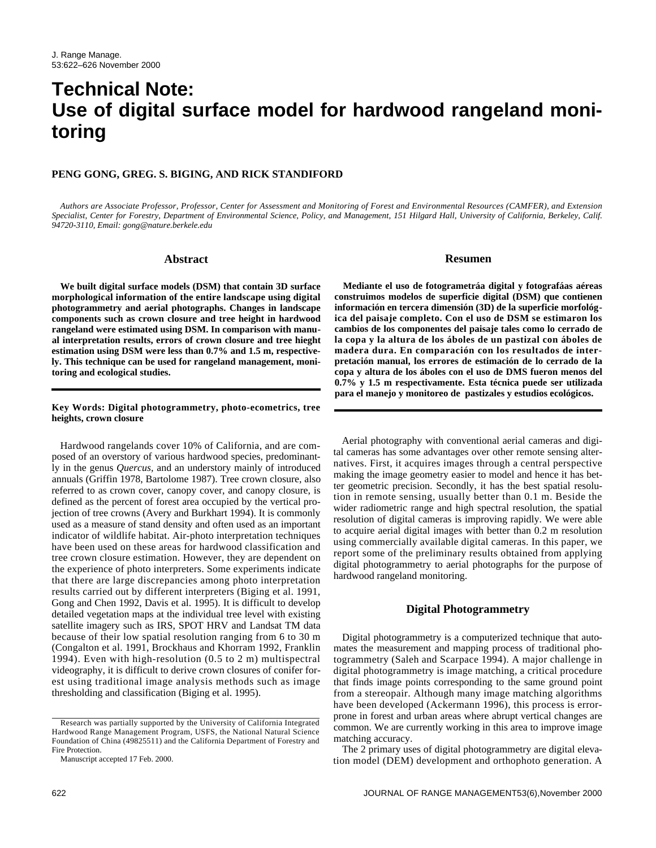# **Technical Note: Use of digital surface model for hardwood rangeland monitoring**

# **PENG GONG, GREG. S. BIGING, AND RICK STANDIFORD**

*Authors are Associate Professor, Professor, Center for Assessment and Monitoring of Forest and Environmental Resources (CAMFER), and Extension Specialist, Center for Forestry, Department of Environmental Science, Policy, and Management, 151 Hilgard Hall, University of California, Berkeley, Calif. 94720-3110, Email: gong@nature.berkele.edu* 

#### **Abstract**

**We built digital surface models (DSM) that contain 3D surface morphological information of the entire landscape using digital photogrammetry and aerial photographs. Changes in landscape components such as crown closure and tree height in hardwood rangeland were estimated using DSM. In comparison with manual interpretation results, errors of crown closure and tree hieght estimation using DSM were less than 0.7% and 1.5 m, respectively. This technique can be used for rangeland management, monitoring and ecological studies.**

#### **Key Words: Digital photogrammetry, photo-ecometrics, tree heights, crown closure**

Hardwood rangelands cover 10% of California, and are composed of an overstory of various hardwood species, predominantly in the genus *Quercus,* and an understory mainly of introduced annuals (Griffin 1978, Bartolome 1987). Tree crown closure, also referred to as crown cover, canopy cover, and canopy closure, is defined as the percent of forest area occupied by the vertical projection of tree crowns (Avery and Burkhart 1994). It is commonly used as a measure of stand density and often used as an important indicator of wildlife habitat. Air-photo interpretation techniques have been used on these areas for hardwood classification and tree crown closure estimation. However, they are dependent on the experience of photo interpreters. Some experiments indicate that there are large discrepancies among photo interpretation results carried out by different interpreters (Biging et al. 1991, Gong and Chen 1992, Davis et al. 1995). It is difficult to develop detailed vegetation maps at the individual tree level with existing satellite imagery such as IRS, SPOT HRV and Landsat TM data because of their low spatial resolution ranging from 6 to 30 m (Congalton et al. 1991, Brockhaus and Khorram 1992, Franklin 1994). Even with high-resolution (0.5 to 2 m) multispectral videography, it is difficult to derive crown closures of conifer forest using traditional image analysis methods such as image thresholding and classification (Biging et al. 1995).

#### **Resumen**

**Mediante el uso de fotogrametráa digital y fotografáas aéreas construimos modelos de superficie digital (DSM) que contienen información en tercera dimensión (3D) de la superficie morfológica del paisaje completo. Con el uso de DSM se estimaron los cambios de los componentes del paisaje tales como lo cerrado de la copa y la altura de los áboles de un pastizal con áboles de madera dura. En comparación con los resultados de interpretación manual, los errores de estimación de lo cerrado de la copa y altura de los áboles con el uso de DMS fueron menos del 0.7% y 1.5 m respectivamente. Esta técnica puede ser utilizada para el manejo y monitoreo de pastizales y estudios ecológicos.**

Aerial photography with conventional aerial cameras and digital cameras has some advantages over other remote sensing alternatives. First, it acquires images through a central perspective making the image geometry easier to model and hence it has better geometric precision. Secondly, it has the best spatial resolution in remote sensing, usually better than 0.1 m. Beside the wider radiometric range and high spectral resolution, the spatial resolution of digital cameras is improving rapidly. We were able to acquire aerial digital images with better than 0.2 m resolution using commercially available digital cameras. In this paper, we report some of the preliminary results obtained from applying digital photogrammetry to aerial photographs for the purpose of hardwood rangeland monitoring.

#### **Digital Photogrammetry**

Digital photogrammetry is a computerized technique that automates the measurement and mapping process of traditional photogrammetry (Saleh and Scarpace 1994). A major challenge in digital photogrammetry is image matching, a critical procedure that finds image points corresponding to the same ground point from a stereopair. Although many image matching algorithms have been developed (Ackermann 1996), this process is errorprone in forest and urban areas where abrupt vertical changes are common. We are currently working in this area to improve image matching accuracy.

The 2 primary uses of digital photogrammetry are digital elevation model (DEM) development and orthophoto generation. A

Research was partially supported by the University of California Integrated Hardwood Range Management Program, USFS, the National Natural Science Foundation of China (49825511) and the California Department of Forestry and Fire Protection.

Manuscript accepted 17 Feb. 2000.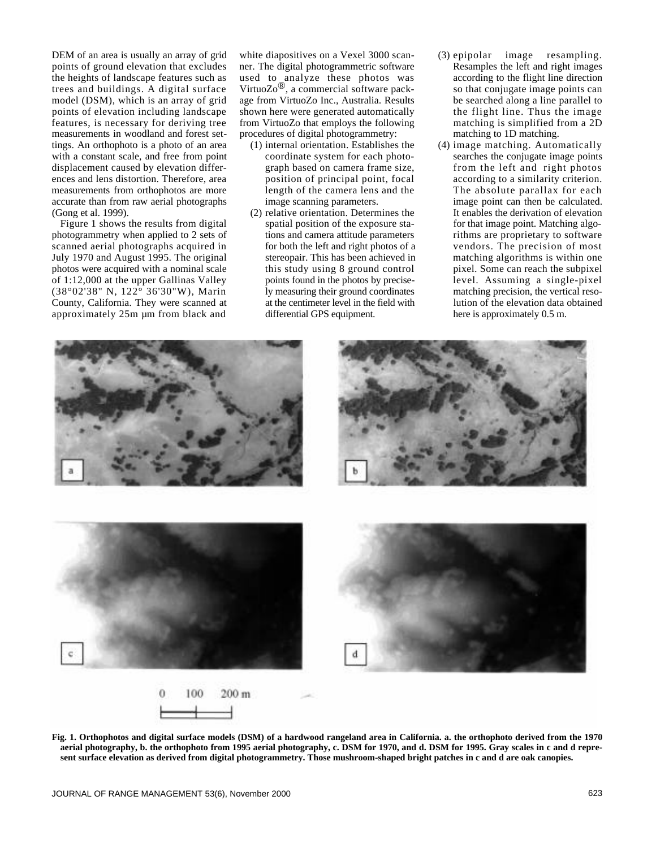DEM of an area is usually an array of grid points of ground elevation that excludes the heights of landscape features such as trees and buildings. A digital surface model (DSM), which is an array of grid points of elevation including landscape features, is necessary for deriving tree measurements in woodland and forest settings. An orthophoto is a photo of an area with a constant scale, and free from point displacement caused by elevation differences and lens distortion. Therefore, area measurements from orthophotos are more accurate than from raw aerial photographs (Gong et al. 1999).

Figure 1 shows the results from digital photogrammetry when applied to 2 sets of scanned aerial photographs acquired in July 1970 and August 1995. The original photos were acquired with a nominal scale of 1:12,000 at the upper Gallinas Valley (38°02'38" N, 122° 36'30"W), Marin County, California. They were scanned at approximately 25m µm from black and

white diapositives on a Vexel 3000 scanner. The digital photogrammetric software used to analyze these photos was<br>VirtuoZo®, a commercial software package from VirtuoZo Inc., Australia. Results shown here were generated automatically from VirtuoZo that employs the following procedures of digital photogrammetry:

- (1) internal orientation. Establishes the coordinate system for each photograph based on camera frame size, position of principal point, focal length of the camera lens and the image scanning parameters.
- (2) relative orientation. Determines the spatial position of the exposure stations and camera attitude parameters for both the left and right photos of a stereopair. This has been achieved in this study using 8 ground control points found in the photos by precisely measuring their ground coordinates at the centimeter level in the field with differential GPS equipment.
- (3) epipolar image resampling. Resamples the left and right images according to the flight line direction so that conjugate image points can be searched along a line parallel to the flight line. Thus the image matching is simplified from a 2D matching to 1D matching.
- (4) image matching. Automatically searches the conjugate image points from the left and right photos according to a similarity criterion. The absolute parallax for each image point can then be calculated. It enables the derivation of elevation for that image point. Matching algorithms are proprietary to software vendors. The precision of most matching algorithms is within one pixel. Some can reach the subpixel level. Assuming a single-pixel matching precision, the vertical resolution of the elevation data obtained here is approximately 0.5 m.



**Fig. 1. Orthophotos and digital surface models (DSM) of a hardwood rangeland area in California. a. the orthophoto derived from the 1970 aerial photography, b. the orthophoto from 1995 aerial photography, c. DSM for 1970, and d. DSM for 1995. Gray scales in c and d represent surface elevation as derived from digital photogrammetry. Those mushroom-shaped bright patches in c and d are oak canopies.**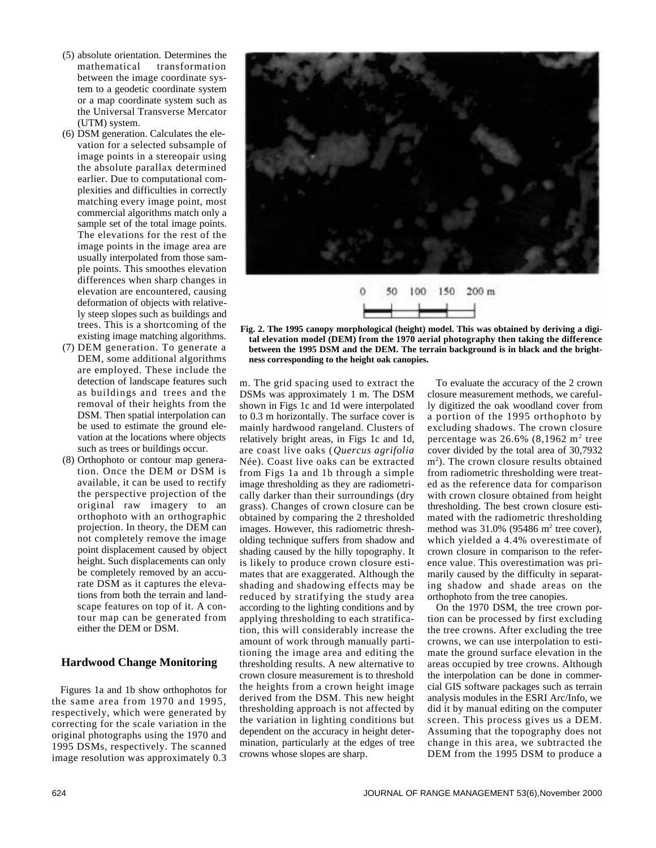- (5) absolute orientation. Determines the mathematical transformation between the image coordinate system to a geodetic coordinate system or a map coordinate system such as the Universal Transverse Mercator (UTM) system.
- (6) DSM generation. Calculates the elevation for a selected subsample of image points in a stereopair using the absolute parallax determined earlier. Due to computational complexities and difficulties in correctly matching every image point, most commercial algorithms match only a sample set of the total image points. The elevations for the rest of the image points in the image area are usually interpolated from those sample points. This smoothes elevation differences when sharp changes in elevation are encountered, causing deformation of objects with relatively steep slopes such as buildings and trees. This is a shortcoming of the existing image matching algorithms.
- (7) DEM generation. To generate a DEM, some additional algorithms are employed. These include the detection of landscape features such as buildings and trees and the removal of their heights from the DSM. Then spatial interpolation can be used to estimate the ground elevation at the locations where objects such as trees or buildings occur.
- (8) Orthophoto or contour map generation. Once the DEM or DSM is available, it can be used to rectify the perspective projection of the original raw imagery to an orthophoto with an orthographic projection. In theory, the DEM can not completely remove the image point displacement caused by object height. Such displacements can only be completely removed by an accurate DSM as it captures the elevations from both the terrain and landscape features on top of it. A contour map can be generated from either the DEM or DSM.

# **Hardwood Change Monitoring**

Figures 1a and 1b show orthophotos for the same area from 1970 and 1995, respectively, which were generated by correcting for the scale variation in the original photographs using the 1970 and 1995 DSMs, respectively. The scanned image resolution was approximately 0.3



**Fig. 2. The 1995 canopy morphological (height) model. This was obtained by deriving a digital elevation model (DEM) from the 1970 aerial photography then taking the difference between the 1995 DSM and the DEM. The terrain background is in black and the brightness corresponding to the height oak canopies.** 

m. The grid spacing used to extract the DSMs was approximately 1 m. The DSM shown in Figs 1c and 1d were interpolated to 0.3 m horizontally. The surface cover is mainly hardwood rangeland. Clusters of relatively bright areas, in Figs 1c and 1d, are coast live oaks (*Quercus agrifolia* Née). Coast live oaks can be extracted from Figs 1a and 1b through a simple image thresholding as they are radiometrically darker than their surroundings (dry grass). Changes of crown closure can be obtained by comparing the 2 thresholded images. However, this radiometric thresholding technique suffers from shadow and shading caused by the hilly topography. It is likely to produce crown closure estimates that are exaggerated. Although the shading and shadowing effects may be reduced by stratifying the study area according to the lighting conditions and by applying thresholding to each stratification, this will considerably increase the amount of work through manually partitioning the image area and editing the thresholding results. A new alternative to crown closure measurement is to threshold the heights from a crown height image derived from the DSM. This new height thresholding approach is not affected by the variation in lighting conditions but dependent on the accuracy in height determination, particularly at the edges of tree crowns whose slopes are sharp.

To evaluate the accuracy of the 2 crown closure measurement methods, we carefully digitized the oak woodland cover from a portion of the 1995 orthophoto by excluding shadows. The crown closure percentage was  $26.6\%$  (8,1962 m<sup>2</sup> tree cover divided by the total area of 30,7932 m 2 ). The crown closure results obtained from radiometric thresholding were treated as the reference data for comparison with crown closure obtained from height thresholding. The best crown closure estimated with the radiometric thresholding method was  $31.0\%$  (95486 m<sup>2</sup> tree cover), which yielded a 4.4% overestimate of crown closure in comparison to the reference value. This overestimation was primarily caused by the difficulty in separating shadow and shade areas on the orthophoto from the tree canopies.

On the 1970 DSM, the tree crown portion can be processed by first excluding the tree crowns. After excluding the tree crowns, we can use interpolation to estimate the ground surface elevation in the areas occupied by tree crowns. Although the interpolation can be done in commercial GIS software packages such as terrain analysis modules in the ESRI Arc/Info, we did it by manual editing on the computer screen. This process gives us a DEM. Assuming that the topography does not change in this area, we subtracted the DEM from the 1995 DSM to produce a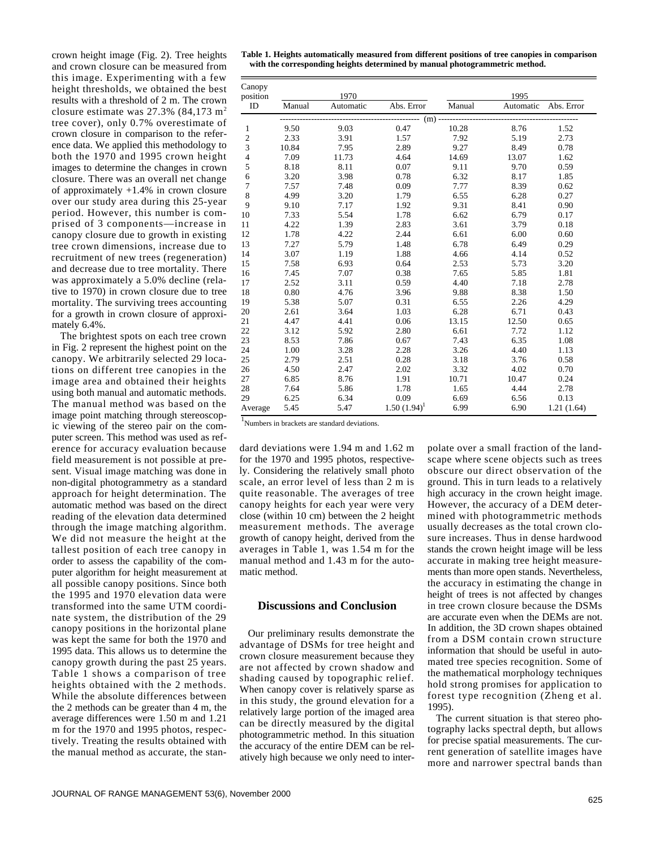crown height image (Fig. 2). Tree heights and crown closure can be measured from this image. Experimenting with a few height thresholds, we obtained the best results with a threshold of 2 m. The crown closure estimate was  $27.3\%$  (84,173 m<sup>2</sup>) tree cover), only 0.7% overestimate of crown closure in comparison to the reference data. We applied this methodology to both the 1970 and 1995 crown height images to determine the changes in crown closure. There was an overall net change of approximately +1.4% in crown closure over our study area during this 25-year period. However, this number is comprised of 3 components—increase in canopy closure due to growth in existing tree crown dimensions, increase due to recruitment of new trees (regeneration) and decrease due to tree mortality. There was approximately a 5.0% decline (relative to 1970) in crown closure due to tree mortality. The surviving trees accounting for a growth in crown closure of approximately 6.4%.

The brightest spots on each tree crown in Fig. 2 represent the highest point on the canopy. We arbitrarily selected 29 locations on different tree canopies in the image area and obtained their heights using both manual and automatic methods. The manual method was based on the image point matching through stereoscopic viewing of the stereo pair on the computer screen. This method was used as reference for accuracy evaluation because field measurement is not possible at present. Visual image matching was done in non-digital photogrammetry as a standard approach for height determination. The automatic method was based on the direct reading of the elevation data determined through the image matching algorithm. We did not measure the height at the tallest position of each tree canopy in order to assess the capability of the computer algorithm for height measurement at all possible canopy positions. Since both the 1995 and 1970 elevation data were transformed into the same UTM coordinate system, the distribution of the 29 canopy positions in the horizontal plane was kept the same for both the 1970 and 1995 data. This allows us to determine the canopy growth during the past 25 years. Table 1 shows a comparison of tree heights obtained with the 2 methods. While the absolute differences between the 2 methods can be greater than 4 m, the average differences were 1.50 m and 1.21 m for the 1970 and 1995 photos, respectively. Treating the results obtained with the manual method as accurate, the stan**Table 1. Heights automatically measured from different positions of tree canopies in comparison with the corresponding heights determined by manual photogrammetric method.**

| Canopy<br>position      | 1970   |           |                | 1995   |           |            |  |
|-------------------------|--------|-----------|----------------|--------|-----------|------------|--|
| ID                      | Manual | Automatic | Abs. Error     | Manual | Automatic | Abs. Error |  |
|                         | (m)    |           |                |        |           |            |  |
| 1                       | 9.50   | 9.03      | 0.47           | 10.28  | 8.76      | 1.52       |  |
| $\boldsymbol{2}$        | 2.33   | 3.91      | 1.57           | 7.92   | 5.19      | 2.73       |  |
| $\overline{\mathbf{3}}$ | 10.84  | 7.95      | 2.89           | 9.27   | 8.49      | 0.78       |  |
| $\overline{4}$          | 7.09   | 11.73     | 4.64           | 14.69  | 13.07     | 1.62       |  |
| 5                       | 8.18   | 8.11      | 0.07           | 9.11   | 9.70      | 0.59       |  |
| 6                       | 3.20   | 3.98      | 0.78           | 6.32   | 8.17      | 1.85       |  |
| $\tau$                  | 7.57   | 7.48      | 0.09           | 7.77   | 8.39      | 0.62       |  |
| 8                       | 4.99   | 3.20      | 1.79           | 6.55   | 6.28      | 0.27       |  |
| 9                       | 9.10   | 7.17      | 1.92           | 9.31   | 8.41      | 0.90       |  |
| 10                      | 7.33   | 5.54      | 1.78           | 6.62   | 6.79      | 0.17       |  |
| 11                      | 4.22   | 1.39      | 2.83           | 3.61   | 3.79      | 0.18       |  |
| 12                      | 1.78   | 4.22      | 2.44           | 6.61   | 6.00      | 0.60       |  |
| 13                      | 7.27   | 5.79      | 1.48           | 6.78   | 6.49      | 0.29       |  |
| 14                      | 3.07   | 1.19      | 1.88           | 4.66   | 4.14      | 0.52       |  |
| 15                      | 7.58   | 6.93      | 0.64           | 2.53   | 5.73      | 3.20       |  |
| 16                      | 7.45   | 7.07      | 0.38           | 7.65   | 5.85      | 1.81       |  |
| 17                      | 2.52   | 3.11      | 0.59           | 4.40   | 7.18      | 2.78       |  |
| 18                      | 0.80   | 4.76      | 3.96           | 9.88   | 8.38      | 1.50       |  |
| 19                      | 5.38   | 5.07      | 0.31           | 6.55   | 2.26      | 4.29       |  |
| 20                      | 2.61   | 3.64      | 1.03           | 6.28   | 6.71      | 0.43       |  |
| 21                      | 4.47   | 4.41      | 0.06           | 13.15  | 12.50     | 0.65       |  |
| 22                      | 3.12   | 5.92      | 2.80           | 6.61   | 7.72      | 1.12       |  |
| 23                      | 8.53   | 7.86      | 0.67           | 7.43   | 6.35      | 1.08       |  |
| 24                      | 1.00   | 3.28      | 2.28           | 3.26   | 4.40      | 1.13       |  |
| 25                      | 2.79   | 2.51      | 0.28           | 3.18   | 3.76      | 0.58       |  |
| 26                      | 4.50   | 2.47      | 2.02           | 3.32   | 4.02      | 0.70       |  |
| 27                      | 6.85   | 8.76      | 1.91           | 10.71  | 10.47     | 0.24       |  |
| 28                      | 7.64   | 5.86      | 1.78           | 1.65   | 4.44      | 2.78       |  |
| 29                      | 6.25   | 6.34      | 0.09           | 6.69   | 6.56      | 0.13       |  |
| Average                 | 5.45   | 5.47      | $1.50(1.94)^1$ | 6.99   | 6.90      | 1.21(1.64) |  |

1 Numbers in brackets are standard deviations.

dard deviations were 1.94 m and 1.62 m for the 1970 and 1995 photos, respectively. Considering the relatively small photo scale, an error level of less than 2 m is quite reasonable. The averages of tree canopy heights for each year were very close (within 10 cm) between the 2 height measurement methods. The average growth of canopy height, derived from the averages in Table 1, was 1.54 m for the manual method and 1.43 m for the automatic method.

# **Discussions and Conclusion**

Our preliminary results demonstrate the advantage of DSMs for tree height and crown closure measurement because they are not affected by crown shadow and shading caused by topographic relief. When canopy cover is relatively sparse as in this study, the ground elevation for a relatively large portion of the imaged area can be directly measured by the digital photogrammetric method. In this situation the accuracy of the entire DEM can be relatively high because we only need to interpolate over a small fraction of the landscape where scene objects such as trees obscure our direct observation of the ground. This in turn leads to a relatively high accuracy in the crown height image. However, the accuracy of a DEM determined with photogrammetric methods usually decreases as the total crown closure increases. Thus in dense hardwood stands the crown height image will be less accurate in making tree height measurements than more open stands. Nevertheless, the accuracy in estimating the change in height of trees is not affected by changes in tree crown closure because the DSMs are accurate even when the DEMs are not. In addition, the 3D crown shapes obtained from a DSM contain crown structure information that should be useful in automated tree species recognition. Some of the mathematical morphology techniques hold strong promises for application to forest type recognition (Zheng et al. 1995).

The current situation is that stereo photography lacks spectral depth, but allows for precise spatial measurements. The current generation of satellite images have more and narrower spectral bands than